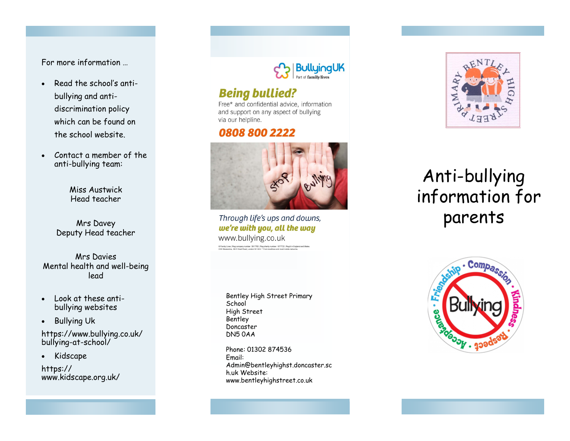For more information …

- Read the school's antibullying and anti discrimination policy which can be found on the school website.
- Contact a member of the anti -bullying team:

Miss Austwick Head teacher

Mrs Davey Deputy Head teacher

Mrs Davies Mental health and well -being lead

- Look at these anti bullying websites
- Bullying Uk

https://www.bullying.co.uk/ bullying -at -school/

• Kidscape

https:// www.kidscape.org.uk/



## **Being bullied?**

Free\* and confidential advice, information and support on any aspect of bullying via our helpline.

### 0808 800 2222



Through life's ups and downs, we're with you, all the way www.bullying.co.uk

Bentley High Street Primary **School** High Street Bentley Doncaster DN5 0AA

Phone: 01302 874536 Email: Admin@bentleyhighst.doncaster.sc h.uk Website: www.bentleyhighstreet.co.uk



# Anti -bullying information for parents